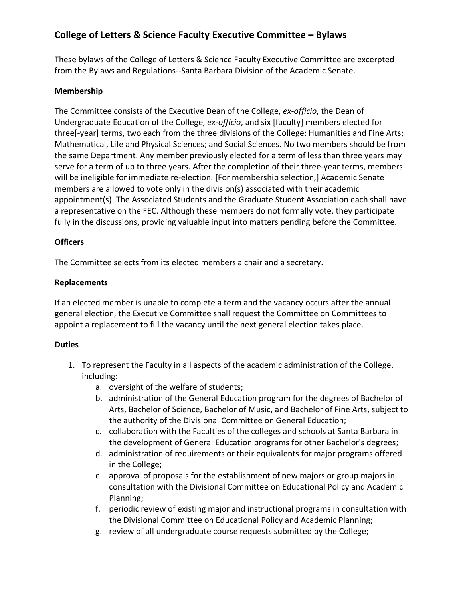# **College of Letters & Science Faculty Executive Committee – Bylaws**

These bylaws of the College of Letters & Science Faculty Executive Committee are excerpted from the Bylaws and Regulations--Santa Barbara Division of the Academic Senate.

### **Membership**

The Committee consists of the Executive Dean of the College, *ex-officio*, the Dean of Undergraduate Education of the College, *ex-officio*, and six [faculty] members elected for three[-year] terms, two each from the three divisions of the College: Humanities and Fine Arts; Mathematical, Life and Physical Sciences; and Social Sciences. No two members should be from the same Department. Any member previously elected for a term of less than three years may serve for a term of up to three years. After the completion of their three-year terms, members will be ineligible for immediate re-election. [For membership selection,] Academic Senate members are allowed to vote only in the division(s) associated with their academic appointment(s). The Associated Students and the Graduate Student Association each shall have a representative on the FEC. Although these members do not formally vote, they participate fully in the discussions, providing valuable input into matters pending before the Committee.

#### **Officers**

The Committee selects from its elected members a chair and a secretary.

#### **Replacements**

If an elected member is unable to complete a term and the vacancy occurs after the annual general election, the Executive Committee shall request the Committee on Committees to appoint a replacement to fill the vacancy until the next general election takes place.

## **Duties**

- 1. To represent the Faculty in all aspects of the academic administration of the College, including:
	- a. oversight of the welfare of students;
	- b. administration of the General Education program for the degrees of Bachelor of Arts, Bachelor of Science, Bachelor of Music, and Bachelor of Fine Arts, subject to the authority of the Divisional Committee on General Education;
	- c. collaboration with the Faculties of the colleges and schools at Santa Barbara in the development of General Education programs for other Bachelor's degrees;
	- d. administration of requirements or their equivalents for major programs offered in the College;
	- e. approval of proposals for the establishment of new majors or group majors in consultation with the Divisional Committee on Educational Policy and Academic Planning;
	- f. periodic review of existing major and instructional programs in consultation with the Divisional Committee on Educational Policy and Academic Planning;
	- g. review of all undergraduate course requests submitted by the College;